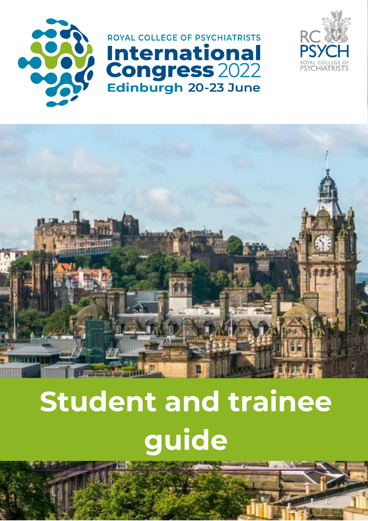

ROYAL COLLEGE OF PSYCHIATRISTS **International Congress 2022** Edinburgh 20-23 June





# **Student and trainee guide**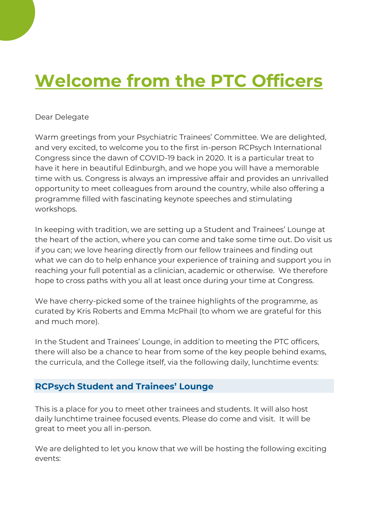# **Welcome from the PTC Officers**

#### Dear Delegate

Warm greetings from your Psychiatric Trainees' Committee. We are delighted, and very excited, to welcome you to the first in-person RCPsych International Congress since the dawn of COVID-19 back in 2020. It is a particular treat to have it here in beautiful Edinburgh, and we hope you will have a memorable time with us. Congress is always an impressive affair and provides an unrivalled opportunity to meet colleagues from around the country, while also offering a programme filled with fascinating keynote speeches and stimulating workshops.

In keeping with tradition, we are setting up a Student and Trainees' Lounge at the heart of the action, where you can come and take some time out. Do visit us if you can; we love hearing directly from our fellow trainees and finding out what we can do to help enhance your experience of training and support you in reaching your full potential as a clinician, academic or otherwise. We therefore hope to cross paths with you all at least once during your time at Congress.

We have cherry-picked some of the trainee highlights of the programme, as curated by Kris Roberts and Emma McPhail (to whom we are grateful for this and much more).

In the Student and Trainees' Lounge, in addition to meeting the PTC officers, there will also be a chance to hear from some of the key people behind exams, the curricula, and the College itself, via the following daily, lunchtime events:

#### **RCPsych Student and Trainees' Lounge**

This is a place for you to meet other trainees and students. It will also host daily lunchtime trainee focused events. Please do come and visit. It will be great to meet you all in-person.

We are delighted to let you know that we will be hosting the following exciting events: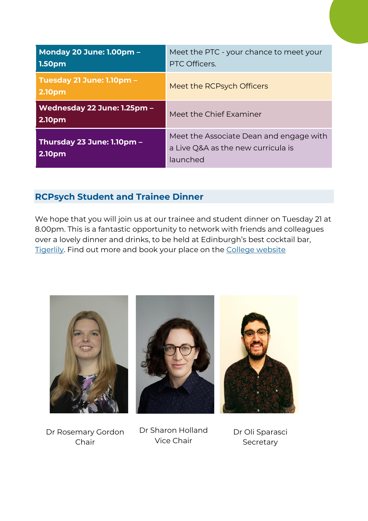| <b>Monday 20 June: 1.00pm -</b><br>1.50pm  | Meet the PTC - your chance to meet your<br>PTC Officers.                                  |
|--------------------------------------------|-------------------------------------------------------------------------------------------|
| Tuesday 21 June: 1.10pm -<br><b>2.10pm</b> | Meet the RCPsych Officers                                                                 |
| Wednesday 22 June: 1.25pm -<br>2.10pm      | Meet the Chief Examiner                                                                   |
| Thursday 23 June: 1.10pm -<br>2.10pm       | Meet the Associate Dean and engage with<br>a Live Q&A as the new curricula is<br>launched |

# **RCPsych Student and Trainee Dinner**

We hope that you will join us at our trainee and student dinner on Tuesday 21 at 8.00pm. This is a fantastic opportunity to network with friends and colleagues over a lovely dinner and drinks, to be held at Edinburgh's best cocktail bar, [Tigerlily.](https://www.tigerlilyedinburgh.co.uk/) Find out more and book your place on the [College](https://www.rcpsych.ac.uk/events/congress/social-and-fringe-events/social-events) website







Dr Rosemary Gordon Chair

Dr Sharon Holland Vice Chair

Dr Oli Sparasci Secretary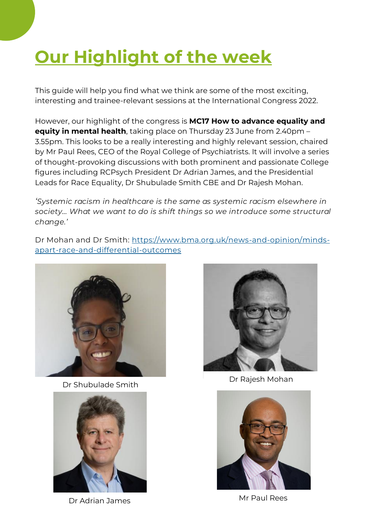# **Our Highlight of the week**

This guide will help you find what we think are some of the most exciting, interesting and trainee-relevant sessions at the International Congress 2022.

However, our highlight of the congress is **MC17 How to advance equality and equity in mental health**, taking place on Thursday 23 June from 2.40pm – 3.55pm. This looks to be a really interesting and highly relevant session, chaired by Mr Paul Rees, CEO of the Royal College of Psychiatrists. It will involve a series of thought-provoking discussions with both prominent and passionate College figures including RCPsych President Dr Adrian James, and the Presidential Leads for Race Equality, Dr Shubulade Smith CBE and Dr Rajesh Mohan.

*'Systemic racism in healthcare is the same as systemic racism elsewhere in society… What we want to do is shift things so we introduce some structural change.'* 

Dr Mohan and Dr Smith: [https://www.bma.org.uk/news-and-opinion/minds](https://www.bma.org.uk/news-and-opinion/minds-apart-race-and-differential-outcomes)[apart-race-and-differential-outcomes](https://www.bma.org.uk/news-and-opinion/minds-apart-race-and-differential-outcomes)



Dr Shubulade Smith



Dr Adrian James Mr Paul Rees



Dr Rajesh Mohan

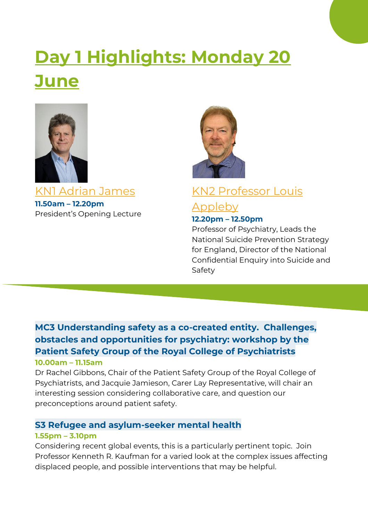# **Day 1 Highlights: Monday 20 June**



KN1 Adrian James **11.50am – 12.20pm** President's Opening Lecture



# KN2 Professor Louis

# Appleby **12.20pm – 12.50pm**

Professor of Psychiatry, Leads the National Suicide Prevention Strategy for England, Director of the National Confidential Enquiry into Suicide and Safety

# **MC3 Understanding safety as a co-created entity. Challenges, obstacles and opportunities for psychiatry: workshop by the Patient Safety Group of the Royal College of Psychiatrists**

#### **10.00am – 11.15am**

Dr Rachel Gibbons, Chair of the Patient Safety Group of the Royal College of Psychiatrists, and Jacquie Jamieson, Carer Lay Representative, will chair an interesting session considering collaborative care, and question our preconceptions around patient safety.

#### **S3 Refugee and asylum-seeker mental health**

#### **1.55pm – 3.10pm**

Considering recent global events, this is a particularly pertinent topic. Join Professor Kenneth R. Kaufman for a varied look at the complex issues affecting displaced people, and possible interventions that may be helpful.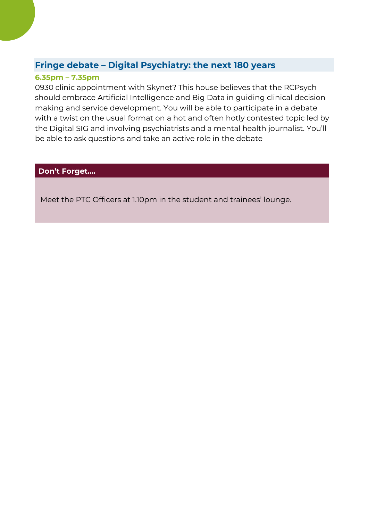#### **Fringe debate – Digital Psychiatry: the next 180 years**

#### **6.35pm – 7.35pm**

0930 clinic appointment with Skynet? This house believes that the RCPsych should embrace Artificial Intelligence and Big Data in guiding clinical decision making and service development. You will be able to participate in a debate with a twist on the usual format on a hot and often hotly contested topic led by the Digital SIG and involving psychiatrists and a mental health journalist. You'll be able to ask questions and take an active role in the debate

#### **Don't Forget….**

Meet the PTC Officers at 1.10pm in the student and trainees' lounge.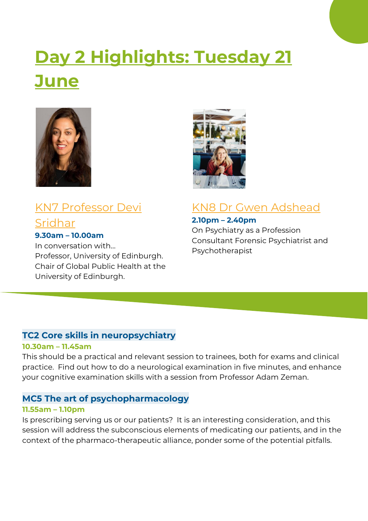# **Day 2 Highlights: Tuesday 21 June**



# KN7 Professor Devi Sridhar **9.30am – 10.00am**

## In conversation with… Professor, University of Edinburgh. Chair of Global Public Health at the University of Edinburgh.



# KN8 Dr Gwen Adshead

**2.10pm – 2.40pm** On Psychiatry as a Profession Consultant Forensic Psychiatrist and Psychotherapist

### **TC2 Core skills in neuropsychiatry**

#### **10.30am – 11.45am**

This should be a practical and relevant session to trainees, both for exams and clinical practice. Find out how to do a neurological examination in five minutes, and enhance your cognitive examination skills with a session from Professor Adam Zeman.

## **MC5 The art of psychopharmacology**

#### **11.55am – 1.10pm**

Is prescribing serving us or our patients? It is an interesting consideration, and this session will address the subconscious elements of medicating our patients, and in the context of the pharmaco-therapeutic alliance, ponder some of the potential pitfalls.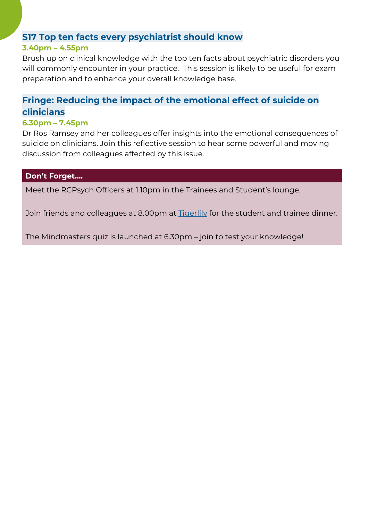#### **S17 Top ten facts every psychiatrist should know**

#### **3.40pm – 4.55pm**

Brush up on clinical knowledge with the top ten facts about psychiatric disorders you will commonly encounter in your practice. This session is likely to be useful for exam preparation and to enhance your overall knowledge base.

# **Fringe: Reducing the impact of the emotional effect of suicide on clinicians**

#### **6.30pm – 7.45pm**

Dr Ros Ramsey and her colleagues offer insights into the emotional consequences of suicide on clinicians. Join this reflective session to hear some powerful and moving discussion from colleagues affected by this issue.

#### **Don't Forget….**

Meet the RCPsych Officers at 1.10pm in the Trainees and Student's lounge.

Join friends and colleagues at 8.00pm at [Tigerlily](https://www.tigerlilyedinburgh.co.uk/) for the student and trainee dinner.

The Mindmasters quiz is launched at 6.30pm – join to test your knowledge!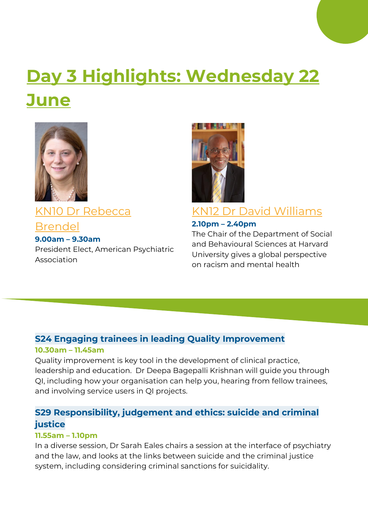# **Day 3 Highlights: Wednesday 22 June**



KN10 Dr Rebecca Brendel **9.00am – 9.30am** President Elect, American Psychiatric Association



# KN12 Dr David Williams

#### **2.10pm – 2.40pm**

The Chair of the Department of Social and Behavioural Sciences at Harvard University gives a global perspective on racism and mental health

### **S24 Engaging trainees in leading Quality Improvement 10.30am – 11.45am**

Quality improvement is key tool in the development of clinical practice, leadership and education. Dr Deepa Bagepalli Krishnan will guide you through QI, including how your organisation can help you, hearing from fellow trainees, and involving service users in QI projects.

## **S29 Responsibility, judgement and ethics: suicide and criminal justice**

#### **11.55am – 1.10pm**

In a diverse session, Dr Sarah Eales chairs a session at the interface of psychiatry and the law, and looks at the links between suicide and the criminal justice system, including considering criminal sanctions for suicidality.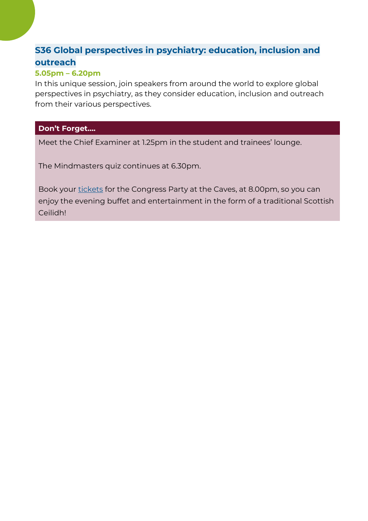# **S36 Global perspectives in psychiatry: education, inclusion and outreach**

#### **5.05pm – 6.20pm**

In this unique session, join speakers from around the world to explore global perspectives in psychiatry, as they consider education, inclusion and outreach from their various perspectives.

#### **Don't Forget….**

Meet the Chief Examiner at 1.25pm in the student and trainees' lounge.

The Mindmasters quiz continues at 6.30pm.

Book your [tickets](https://www.rcpsych.ac.uk/events/congress/social-and-fringe-events/social-events?dm_i=3S85,1FGFW,4UZ0XP,582RZ,1) for the Congress Party at the Caves, at 8.00pm, so you can enjoy the evening buffet and entertainment in the form of a traditional Scottish Ceilidh!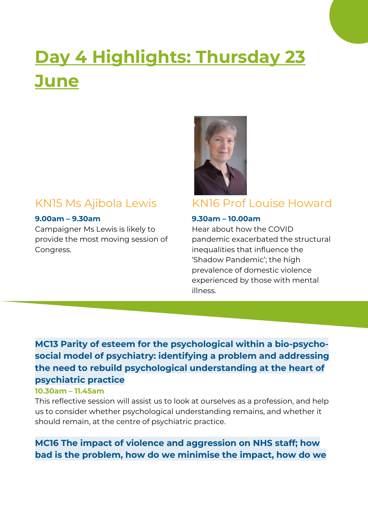# **Day 4 Highlights: Thursday 23 June**

# KN15 Ms Ajibola Lewis

#### **9.00am – 9.30am**

Campaigner Ms Lewis is likely to provide the most moving session of Congress.



# KN16 Prof Louise Howard

#### **9.30am – 10.00am**

Hear about how the COVID pandemic exacerbated the structural inequalities that influence the 'Shadow Pandemic'; the high prevalence of domestic violence experienced by those with mental illness.

# **MC13 Parity of esteem for the psychological within a bio-psychosocial model of psychiatry: identifying a problem and addressing the need to rebuild psychological understanding at the heart of psychiatric practice**

#### **10.30am – 11.45am**

This reflective session will assist us to look at ourselves as a profession, and help us to consider whether psychological understanding remains, and whether it should remain, at the centre of psychiatric practice.

**MC16 The impact of violence and aggression on NHS staff; how bad is the problem, how do we minimise the impact, how do we**